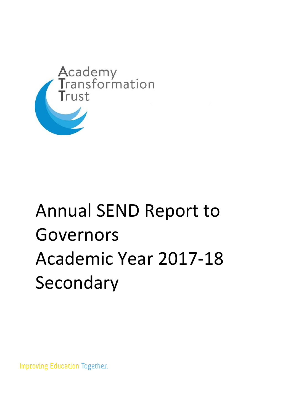

## Annual SEND Report to Governors Academic Year 2017-18 Secondary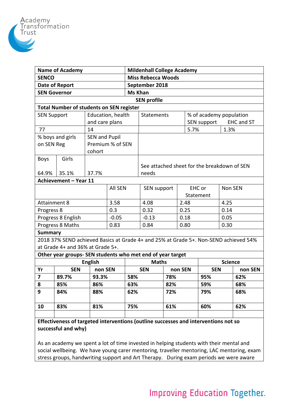

| <b>Name of Academy</b>                                                              |                                                                                      |                   |                      | <b>Mildenhall College Academy</b> |                                             |      |                |                                  |                         |         |  |
|-------------------------------------------------------------------------------------|--------------------------------------------------------------------------------------|-------------------|----------------------|-----------------------------------|---------------------------------------------|------|----------------|----------------------------------|-------------------------|---------|--|
| <b>SENCO</b>                                                                        |                                                                                      |                   |                      | <b>Miss Rebecca Woods</b>         |                                             |      |                |                                  |                         |         |  |
| Date of Report                                                                      |                                                                                      |                   |                      | September 2018                    |                                             |      |                |                                  |                         |         |  |
| <b>SEN Governor</b>                                                                 |                                                                                      |                   |                      |                                   | <b>Ms Khan</b>                              |      |                |                                  |                         |         |  |
| <b>SEN profile</b>                                                                  |                                                                                      |                   |                      |                                   |                                             |      |                |                                  |                         |         |  |
| <b>Total Number of students on SEN register</b>                                     |                                                                                      |                   |                      |                                   |                                             |      |                |                                  |                         |         |  |
| <b>SEN Support</b>                                                                  |                                                                                      | Education, health |                      | Statements                        |                                             |      |                |                                  | % of academy population |         |  |
|                                                                                     |                                                                                      | and care plans    |                      |                                   |                                             |      |                | <b>EHC and ST</b><br>SEN support |                         |         |  |
| 77                                                                                  |                                                                                      | 14                |                      |                                   |                                             | 5.7% |                |                                  | 1.3%                    |         |  |
|                                                                                     | % boys and girls                                                                     |                   | <b>SEN and Pupil</b> |                                   |                                             |      |                |                                  |                         |         |  |
| on SEN Reg                                                                          |                                                                                      |                   | Premium % of SEN     |                                   |                                             |      |                |                                  |                         |         |  |
|                                                                                     |                                                                                      | cohort            |                      |                                   |                                             |      |                |                                  |                         |         |  |
| <b>Boys</b>                                                                         | Girls                                                                                |                   |                      |                                   |                                             |      |                |                                  |                         |         |  |
|                                                                                     |                                                                                      |                   |                      |                                   | See attached sheet for the breakdown of SEN |      |                |                                  |                         |         |  |
| 64.9%                                                                               | 35.1%                                                                                | 37.7%             |                      |                                   | needs                                       |      |                |                                  |                         |         |  |
| Achievement - Year 11                                                               |                                                                                      |                   |                      |                                   |                                             |      |                |                                  |                         |         |  |
|                                                                                     |                                                                                      |                   | <b>All SEN</b>       |                                   | SEN support                                 |      | EHC or         |                                  | Non SEN                 |         |  |
|                                                                                     |                                                                                      |                   |                      |                                   |                                             |      |                | Statement                        |                         |         |  |
| <b>Attainment 8</b>                                                                 |                                                                                      |                   | 3.58                 |                                   | 4.08                                        |      | 2.48           |                                  |                         | 4.25    |  |
| Progress 8                                                                          |                                                                                      |                   | 0.3                  |                                   | 0.32                                        |      | 0.25           |                                  | 0.14                    |         |  |
| Progress 8 English                                                                  |                                                                                      |                   | $-0.05$              |                                   | $-0.13$                                     |      | 0.18           |                                  | 0.05                    |         |  |
| Progress 8 Maths                                                                    |                                                                                      |                   | 0.83                 |                                   | 0.84                                        |      | 0.80           |                                  | 0.30                    |         |  |
| <b>Summary</b>                                                                      |                                                                                      |                   |                      |                                   |                                             |      |                |                                  |                         |         |  |
|                                                                                     | 2018 37% SEND achieved Basics at Grade 4+ and 25% at Grade 5+. Non-SEND achieved 54% |                   |                      |                                   |                                             |      |                |                                  |                         |         |  |
| at Grade 4+ and 36% at Grade 5+.                                                    |                                                                                      |                   |                      |                                   |                                             |      |                |                                  |                         |         |  |
| Other year groups- SEN students who met end of year target                          |                                                                                      |                   |                      |                                   |                                             |      |                |                                  |                         |         |  |
| <b>English</b>                                                                      |                                                                                      |                   | <b>Maths</b>         |                                   |                                             |      | <b>Science</b> |                                  |                         |         |  |
| Yr                                                                                  | <b>SEN</b>                                                                           | non SEN           |                      |                                   | <b>SEN</b>                                  |      | non SEN        | <b>SEN</b>                       |                         | non SEN |  |
| 7                                                                                   | 89.7%                                                                                | 93.3%             |                      | 58%                               |                                             | 78%  |                | 95%                              |                         | 62%     |  |
| 8                                                                                   | 85%                                                                                  | 86%               | 63%                  |                                   | 82%                                         |      |                | 59%                              |                         | 68%     |  |
| 9                                                                                   | 84%                                                                                  | 88%               |                      |                                   | 62%                                         |      |                | 79%                              |                         | 68%     |  |
| 10                                                                                  | 83%                                                                                  | 81%               | 75%                  |                                   |                                             | 61%  |                | 60%                              |                         | 62%     |  |
|                                                                                     |                                                                                      |                   |                      |                                   |                                             |      |                |                                  |                         |         |  |
| Effectiveness of targeted interventions (outline successes and interventions not so |                                                                                      |                   |                      |                                   |                                             |      |                |                                  |                         |         |  |

**successful and why)**

As an academy we spent a lot of time invested in helping students with their mental and social wellbeing. We have young carer mentoring, traveller mentoring, LAC mentoring, exam stress groups, handwriting support and Art Therapy. During exam periods we were aware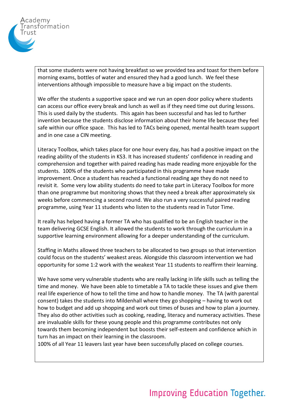

that some students were not having breakfast so we provided tea and toast for them before morning exams, bottles of water and ensured they had a good lunch. We feel these interventions although impossible to measure have a big impact on the students.

We offer the students a supportive space and we run an open door policy where students can access our office every break and lunch as well as if they need time out during lessons. This is used daily by the students. This again has been successful and has led to further invention because the students disclose information about their home life because they feel safe within our office space. This has led to TACs being opened, mental health team support and in one case a CIN meeting.

Literacy Toolbox, which takes place for one hour every day, has had a positive impact on the reading ability of the students in KS3. It has increased students' confidence in reading and comprehension and together with paired reading has made reading more enjoyable for the students. 100% of the students who participated in this programme have made improvement. Once a student has reached a functional reading age they do not need to revisit it. Some very low ability students do need to take part in Literacy Toolbox for more than one programme but monitoring shows that they need a break after approximately six weeks before commencing a second round. We also run a very successful paired reading programme, using Year 11 students who listen to the students read in Tutor Time.

It really has helped having a former TA who has qualified to be an English teacher in the team delivering GCSE English. It allowed the students to work through the curriculum in a supportive learning environment allowing for a deeper understanding of the curriculum.

Staffing in Maths allowed three teachers to be allocated to two groups so that intervention could focus on the students' weakest areas. Alongside this classroom intervention we had opportunity for some 1:2 work with the weakest Year 11 students to reaffirm their learning.

We have some very vulnerable students who are really lacking in life skills such as telling the time and money. We have been able to timetable a TA to tackle these issues and give them real life experience of how to tell the time and how to handle money. The TA (with parental consent) takes the students into Mildenhall where they go shopping – having to work out how to budget and add up shopping and work out times of buses and how to plan a journey. They also do other activities such as cooking, reading, literacy and numeracy activities. These are invaluable skills for these young people and this programme contributes not only towards them becoming independent but boosts their self-esteem and confidence which in turn has an impact on their learning in the classroom.

100% of all Year 11 leavers last year have been successfully placed on college courses.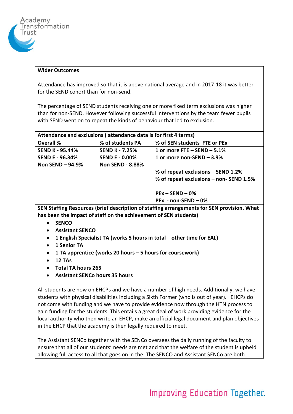

## **Wider Outcomes**

Attendance has improved so that it is above national average and in 2017-18 it was better for the SEND cohort than for non-send.

The percentage of SEND students receiving one or more fixed term exclusions was higher than for non-SEND. However following successful interventions by the team fewer pupils with SEND went on to repeat the kinds of behaviour that led to exclusion.

| Attendance and exclusions (attendance data is for first 4 terms) |                         |                                         |  |  |  |  |  |  |
|------------------------------------------------------------------|-------------------------|-----------------------------------------|--|--|--|--|--|--|
| <b>Overall %</b>                                                 | % of students PA        | % of SEN students FTE or PEx            |  |  |  |  |  |  |
| <b>SEND K - 95.44%</b>                                           | <b>SEND K - 7.25%</b>   | 1 or more FTE $-$ SEND $-$ 5.1%         |  |  |  |  |  |  |
| <b>SEND E - 96.34%</b>                                           | <b>SEND E - 0.00%</b>   | 1 or more non-SEND $-3.9%$              |  |  |  |  |  |  |
| Non SEND $-94.9%$                                                | <b>Non SEND - 8.88%</b> |                                         |  |  |  |  |  |  |
|                                                                  |                         | % of repeat exclusions - SEND 1.2%      |  |  |  |  |  |  |
|                                                                  |                         | % of repeat exclusions - non- SEND 1.5% |  |  |  |  |  |  |
|                                                                  |                         |                                         |  |  |  |  |  |  |
|                                                                  |                         | $PEx - SEND - 0%$                       |  |  |  |  |  |  |
|                                                                  |                         | $PEx - non-SEND - 0%$                   |  |  |  |  |  |  |

**SEN Staffing Resources (brief description of staffing arrangements for SEN provision. What has been the impact of staff on the achievement of SEN students)**

- **SENCO**
- **Assistant SENCO**
- **1 English Specialist TA (works 5 hours in total– other time for EAL)**
- **1 Senior TA**
- **1 TA apprentice (works 20 hours – 5 hours for coursework)**
- **12 TAs**
- **Total TA hours 265**
- **Assistant SENCo hours 35 hours**

All students are now on EHCPs and we have a number of high needs. Additionally, we have students with physical disabilities including a Sixth Former (who is out of year). EHCPs do not come with funding and we have to provide evidence now through the HTN process to gain funding for the students. This entails a great deal of work providing evidence for the local authority who then write an EHCP, make an official legal document and plan objectives in the EHCP that the academy is then legally required to meet.

The Assistant SENCo together with the SENCo oversees the daily running of the faculty to ensure that all of our students' needs are met and that the welfare of the student is upheld allowing full access to all that goes on in the. The SENCO and Assistant SENCo are both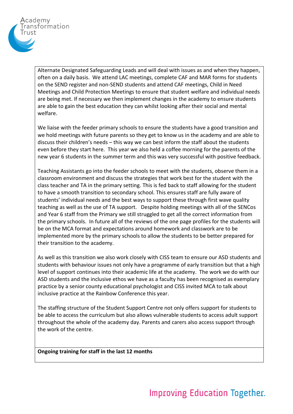

Alternate Designated Safeguarding Leads and will deal with issues as and when they happen, often on a daily basis. We attend LAC meetings, complete CAF and MAR forms for students on the SEND register and non-SEND students and attend CAF meetings, Child in Need Meetings and Child Protection Meetings to ensure that student welfare and individual needs are being met. If necessary we then implement changes in the academy to ensure students are able to gain the best education they can whilst looking after their social and mental welfare.

We liaise with the feeder primary schools to ensure the students have a good transition and we hold meetings with future parents so they get to know us in the academy and are able to discuss their children's needs – this way we can best inform the staff about the students even before they start here. This year we also held a coffee morning for the parents of the new year 6 students in the summer term and this was very successful with positive feedback.

Teaching Assistants go into the feeder schools to meet with the students, observe them in a classroom environment and discuss the strategies that work best for the student with the class teacher and TA in the primary setting. This is fed back to staff allowing for the student to have a smooth transition to secondary school. This ensures staff are fully aware of students' individual needs and the best ways to support these through first wave quality teaching as well as the use of TA support. Despite holding meetings with all of the SENCos and Year 6 staff from the Primary we still struggled to get all the correct information from the primary schools. In future all of the reviews of the one page profiles for the students will be on the MCA format and expectations around homework and classwork are to be implemented more by the primary schools to allow the students to be better prepared for their transition to the academy.

As well as this transition we also work closely with CISS team to ensure our ASD students and students with behaviour issues not only have a programme of early transition but that a high level of support continues into their academic life at the academy. The work we do with our ASD students and the inclusive ethos we have as a faculty has been recognised as exemplary practice by a senior county educational psychologist and CISS invited MCA to talk about inclusive practice at the Rainbow Conference this year.

The staffing structure of the Student Support Centre not only offers support for students to be able to access the curriculum but also allows vulnerable students to access adult support throughout the whole of the academy day. Parents and carers also access support through the work of the centre.

**Ongoing training for staff in the last 12 months**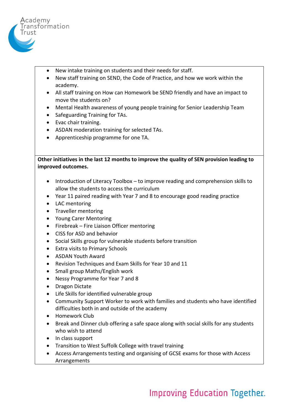

- New intake training on students and their needs for staff.
- New staff training on SEND, the Code of Practice, and how we work within the academy.
- All staff training on How can Homework be SEND friendly and have an impact to move the students on?
- Mental Health awareness of young people training for Senior Leadership Team
- Safeguarding Training for TAs.
- Evac chair training.
- ASDAN moderation training for selected TAs.
- Apprenticeship programme for one TA.

**Other initiatives in the last 12 months to improve the quality of SEN provision leading to improved outcomes.**

- Introduction of Literacy Toolbox to improve reading and comprehension skills to allow the students to access the curriculum
- Year 11 paired reading with Year 7 and 8 to encourage good reading practice
- LAC mentoring
- Traveller mentoring
- Young Carer Mentoring
- Firebreak Fire Liaison Officer mentoring
- CISS for ASD and behavior
- Social Skills group for vulnerable students before transition
- Extra visits to Primary Schools
- ASDAN Youth Award
- Revision Techniques and Exam Skills for Year 10 and 11
- Small group Maths/English work
- Nessy Programme for Year 7 and 8
- Dragon Dictate
- Life Skills for identified vulnerable group
- Community Support Worker to work with families and students who have identified difficulties both in and outside of the academy
- Homework Club
- Break and Dinner club offering a safe space along with social skills for any students who wish to attend
- In class support
- Transition to West Suffolk College with travel training
- Access Arrangements testing and organising of GCSE exams for those with Access Arrangements